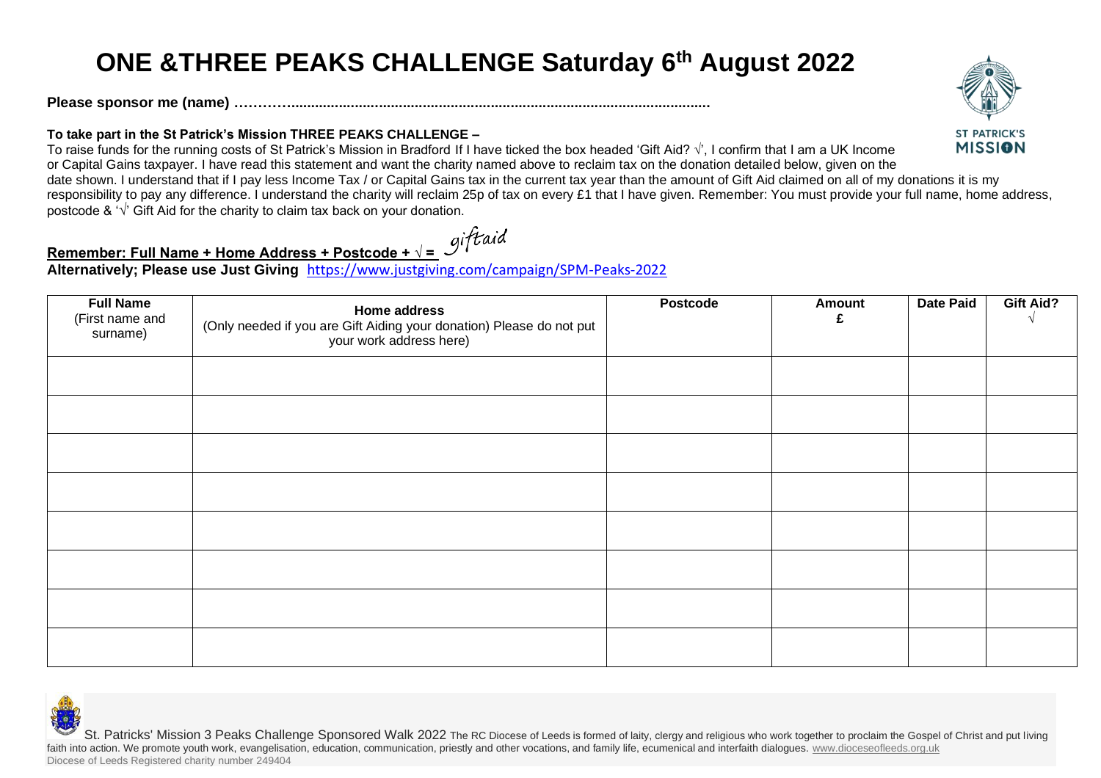## **ONE &THREE PEAKS CHALLENGE Saturday 6th August 2022**

**Please sponsor me (name) ………….........................................................................................................**

## **To take part in the St Patrick's Mission THREE PEAKS CHALLENGE –**

To raise funds for the running costs of St Patrick's Mission in Bradford If I have ticked the box headed 'Gift Aid? √', I confirm that I am a UK Income or Capital Gains taxpayer. I have read this statement and want the charity named above to reclaim tax on the donation detailed below, given on the date shown. I understand that if I pay less Income Tax / or Capital Gains tax in the current tax year than the amount of Gift Aid claimed on all of my donations it is my responsibility to pay any difference. I understand the charity will reclaim 25p of tax on every £1 that I have given. Remember: You must provide your full name, home address,

postcode & '**√**' Gift Aid for the charity to claim tax back on your donation.

## **Remember: Full Name + Home Address + Postcode + √ = giftaid**<br>Alternatively: Please use list at the set of the postcode + √ = giftaid

**Alternatively; Please use Just Giving** <https://www.justgiving.com/campaign/SPM-Peaks-2022>

| <b>Full Name</b><br>(First name and<br>surname) | Home address<br>(Only needed if you are Gift Aiding your donation) Please do not put<br>your work address here) | Postcode | <b>Amount</b><br>£ | <b>Date Paid</b> | <b>Gift Aid?</b> |
|-------------------------------------------------|-----------------------------------------------------------------------------------------------------------------|----------|--------------------|------------------|------------------|
|                                                 |                                                                                                                 |          |                    |                  |                  |
|                                                 |                                                                                                                 |          |                    |                  |                  |
|                                                 |                                                                                                                 |          |                    |                  |                  |
|                                                 |                                                                                                                 |          |                    |                  |                  |
|                                                 |                                                                                                                 |          |                    |                  |                  |
|                                                 |                                                                                                                 |          |                    |                  |                  |
|                                                 |                                                                                                                 |          |                    |                  |                  |
|                                                 |                                                                                                                 |          |                    |                  |                  |